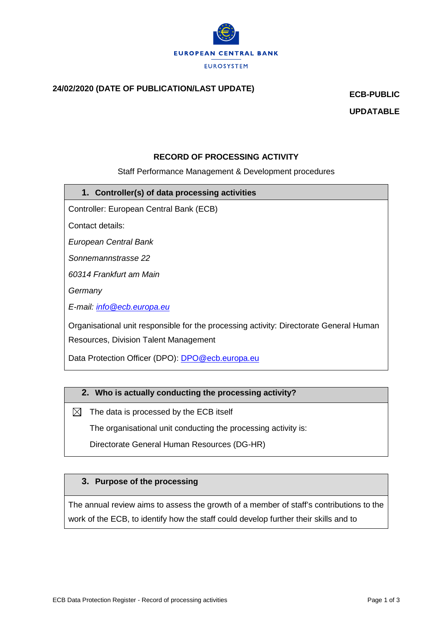

# **24/02/2020 (DATE OF PUBLICATION/LAST UPDATE) ECB-PUBLIC**

**UPDATABLE**

## **RECORD OF PROCESSING ACTIVITY**

## Staff Performance Management & Development procedures

**1. Controller(s) of data processing activities**

Controller: European Central Bank (ECB)

Contact details:

*European Central Bank*

*Sonnemannstrasse 22*

*60314 Frankfurt am Main*

*Germany*

*E-mail: [info@ecb.europa.eu](mailto:info@ecb.europa.eu)*

Organisational unit responsible for the processing activity: Directorate General Human Resources, Division Talent Management

Data Protection Officer (DPO): [DPO@ecb.europa.eu](mailto:DPO@ecb.europa.eu)

### **2. Who is actually conducting the processing activity?**

 $\boxtimes$  The data is processed by the ECB itself

The organisational unit conducting the processing activity is:

Directorate General Human Resources (DG-HR)

## **3. Purpose of the processing**

The annual review aims to assess the growth of a member of staff's contributions to the work of the ECB, to identify how the staff could develop further their skills and to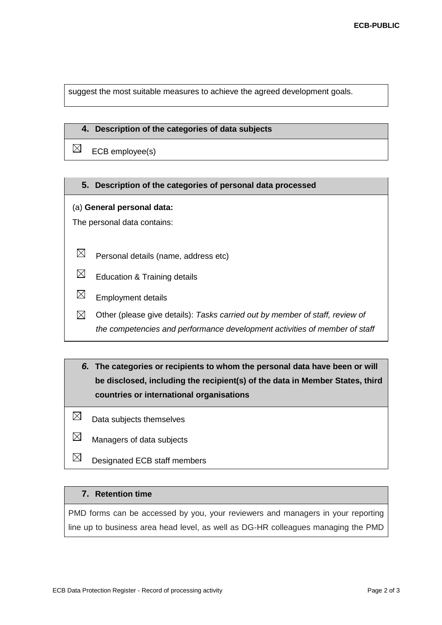suggest the most suitable measures to achieve the agreed development goals.

#### **4. Description of the categories of data subjects**

 $\boxtimes$ ECB employee(s)

#### **5. Description of the categories of personal data processed**

#### (a) **General personal data:**

The personal data contains:

- $\boxtimes$ Personal details (name, address etc)
- $\boxtimes$ Education & Training details
- $\boxtimes$ Employment details
- $\boxtimes$ Other (please give details): *Tasks carried out by member of staff, review of the competencies and performance development activities of member of staff*
- *6.* **The categories or recipients to whom the personal data have been or will be disclosed, including the recipient(s) of the data in Member States, third countries or international organisations**
- $\boxtimes$ Data subjects themselves
- $\boxtimes$ Managers of data subjects
- $\boxtimes$ Designated ECB staff members

## **7. Retention time**

PMD forms can be accessed by you, your reviewers and managers in your reporting line up to business area head level, as well as DG-HR colleagues managing the PMD